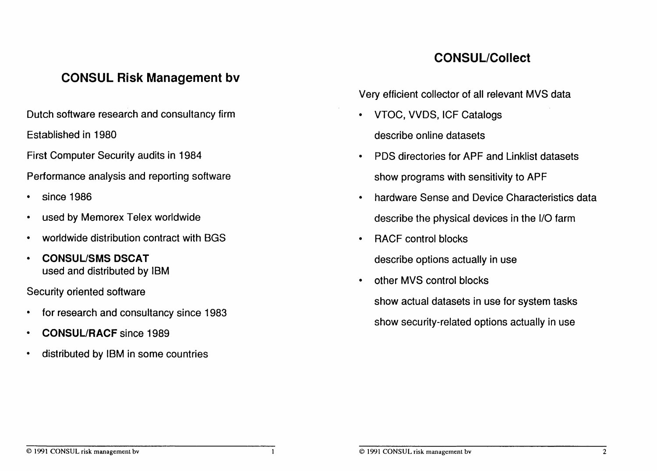### CONSUL Risk Management bv

Dutch software research and consultancy firm

Established in 1980

First Computer Security audits in 1984

Performance analysis and reporting software

- since 1986
- used by Memorex Telex worldwide
- worldwide distribution contract with BGS
- CONSUUSMS DSCAT used and distributed by IBM

Security oriented software

- for research and consultancy since 1983
- CONSUL/RACF since 1989
- distributed by IBM in some countries

# CONSUL/Collect

Very efficient collector of all relevant MVS data

- VTOC, VVDS, ICF Catalogs describe online datasets
- PDS directories for APF and Linklist datasets show programs with sensitivity to APF
- hardware Sense and Device Characteristics data describe the physical devices in the I/O farm
- RACF control blocks
	- describe options actually in use
	- other MVS control blocks show actual datasets in use for system tasks show security-related options actually in use

#### © ]991 CONSUL risk management bv

 $\mathbf{1}$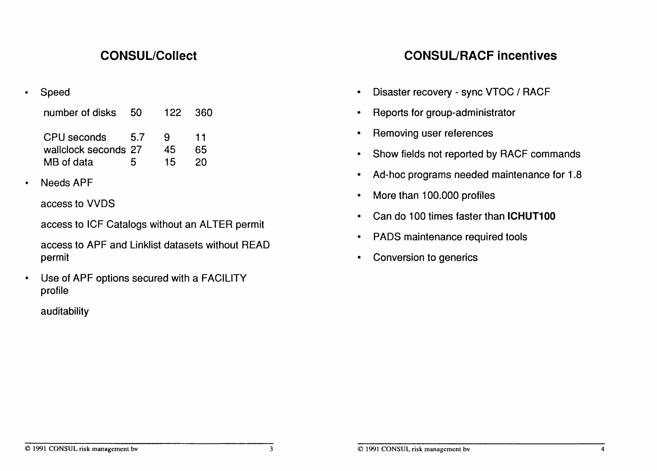| number of disks                     | 50  | 122     | -360     |
|-------------------------------------|-----|---------|----------|
| CPU seconds<br>wallclock seconds 27 | 5.7 | Q<br>45 | 11<br>65 |
| MB of data                          | 5   | 15      | 20       |

access to VVDS

access to ICF Catalogs without an ALTER permit

access to APF and Linklist datasets without READ permit

• Use of APF options secured with a FACILITY profile

auditability

# CONSUL/Collect CONSUURACF incentives

- Speed Speed Speed Speed Speed Speed Speed Speed Speed Speed  **Speed Speed Speed Speed Speed Speed Speed Speed Speed Speed Speed Speed Speed Speed Speed Speed Speed Spe** 
	- **number of disks 50 122 360 Reports for group-administrator** 
		- Removing user references
		- Show fields not reported by RACF commands
- Ad-hoc programs needed maintenance for 1.8 Needs APF
	- More than 100.000 profiles
	- Can do 100 times faster than ICHUT100
	- PADS maintenance required tools
	- Conversion to generics

#### © 1991 CONSUL risk management bv 3 © 1991 CONSUL risk management bv 4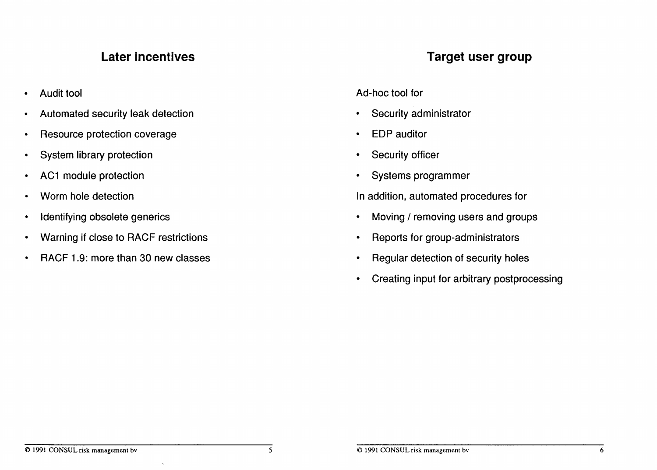- 
- Automated security leak detection Security administrator
- **Resource protection coverage example 3 and 2 and 3 and 3 and 3 and 3 and 3 and 3 and 3 and 3 and 3 and 3 and 3 and 3 and 3 and 3 and 3 and 3 and 3 and 3 and 3 and 3 and 3 and 3 and 3 and 3 and 3 and 3 and 3 and 3 and 3 an**
- System library protection  **Security officer** Security officer
- AC1 module protection **•** Systems programmer
- 
- 
- Warning if close to RACF restrictions **• Reports for group-administrators**
- RACF 1.9: more than 30 new classes Regular detection of security holes

## Later incentives **Target user group**

• Audit tool **Ad-hoc tool for Ad-hoc tool for Ad-hoc tool for** 

- 
- 
- 
- 

• Worm hole detection **In addition**, automated procedures for

- Identifying obsolete generics **•** Moving / removing users and groups
	-
	-
	- Creating input for arbitrary postprocessing

 $\ddot{\phantom{1}}$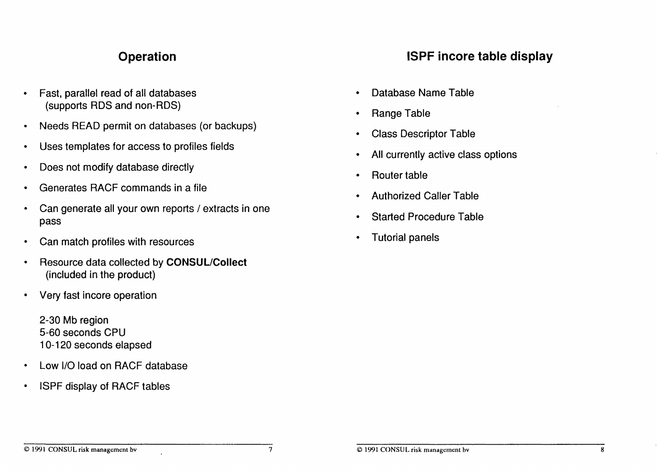# **Operation**

- Fast, parallel read of all databases (supports RDS and non-RDS)
- Needs READ permit on databases (or backups)
- Uses templates for access to profiles fields
- Does not modify database directly
- Generates RACF commands in a file
- Can generate all your own reports / extracts in one pass
- Can match profiles with resources
- Resource data collected by CONSUL/Collect (included in the product)
- Very fast incore operation

2-30 Mb region 5-60 seconds CPU 10-120 seconds elapsed

- Low I/O load on RACF database
- ISPF display of RACF tables

## ISPF incore table display

- Database Name Table
- Range Table
- Class Descriptor Table
- All currently active class options
- Router table
- Authorized Caller Table
- Started Procedure Table
- Tutorial panels

#### © 1991 CONSUL risk management bv 7 consul L risk management bv 8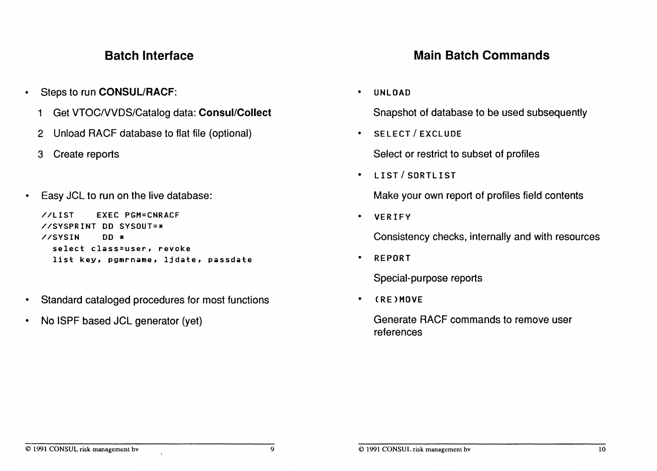### Batch Interface

- Steps to run CONSUL/RACF:
	- 1 Get VTOC/VVDS/Catalog data: Consul/Collect
	- 2 Unload RACF database to flat file (optional)
	-
- Easy JCL to run on the live database:

```
//LIST EXEC PGM=CNRACF
//SYSPRINT DD SVSOUT=*
//SYSIN DD * select class=user, revoke
  list key, pgmrname, ljdate, passdate
```
- Standard cataloged procedures for most functions
- No ISPF based JCL generator (yet)

# Main Batch Commands

• UNLOAD

Snapshot of database to be used subsequently

• SELECT / EXCLUDE

3 Create reports **Select or restrict to subset of profiles** Select or restrict to subset of profiles

• LIST / SORTLIST

Make your own report of profiles field contents

• VERIFY

Consistency checks, internally and with resources

• REPORT

Special-purpose reports

• (RElMOVE

Generate RACF commands to remove user references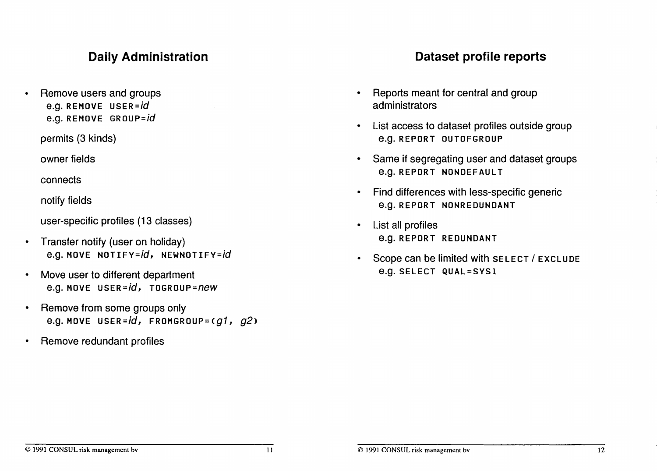## Daily Administration

• Remove users and groups e.g. REMOVE USER=id e.g. REMOVE GRoup=id

permits (3 kinds)

owner fields

connects

notify fields

user-specific profiles (13 classes)

- Transfer notify (user on holiday) e.g. MOVE NOTIFY=id, NEWNOTIFY=id
- Move user to different department e.g. MOVE USER=id, TOGROUP=new
- Remove from some groups only e.g. MOVE USER= $id$ , FROMGROUP=( $g1$ ,  $g2$ )
- Remove redundant profiles

### Dataset profile reports

- Reports meant for central and group administrators
- List access to dataset profiles outside group e.g. REPORT OUTOFGROUP
- Same if segregating user and dataset groups **e.g. REPORT NONDEFAULT**
- Find differences with less-specific generic e.g. REPORT NONREDUNDANT
- List all profiles e.g. REPORT REDUNDANT
- Scope can be limited with SELECT / EXCLUDE e.g. SELECT QUAL=SYSI

#### $\degree$  1991 CONSUL risk management bv 12<br> $\degree$  1991 CONSUL risk management bv 12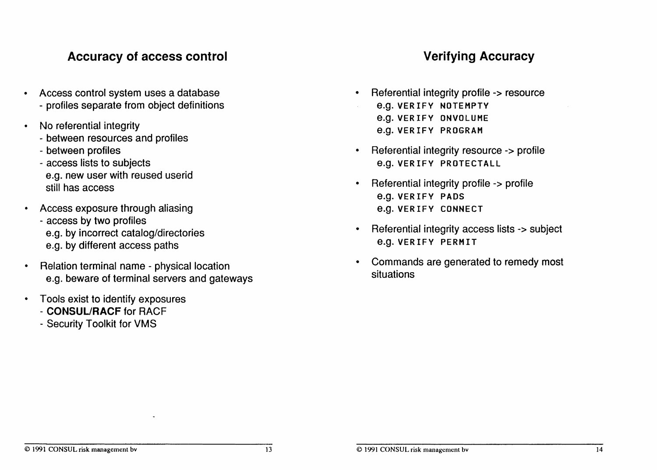## Accuracy of access control **Accuracy** Verifying Accuracy

- Access control system uses a database Referential integrity profile -> resource - profiles separate from object definitions e.g. VER IFY NOTEMPTV
- - between resources and profiles
	-
	- access lists to subjects e.g. VERIFY PROTECTALL e.g. new user with reused userid
- Access exposure through aliasing e.g. versus and e.g. versus connect
	- e.g. by different access paths
- e.g. beware of terminal servers and gateways
- Tools exist to identify exposures
	- CONSUL/RACF for RACF
	- Security Toolkit for VMS

- No referential integrity<br>
No referential integrity<br>
e.g. versus e.g. versus produced by the set of the set of the set of the set of the set of the set of the set of the set of the set of the set of the set of the set of th
- between profiles Referential integrity resource -> profile
- sign from decrement reduced doctors of the state of the state of the Referential integrity profile -> profile still has access e.g. VERIFY PADS
- access by two profiles<br>
e.g. by incorrect catalog/directories The Referential integrity access lists -> subject<br>
e.g. VERIFY PERMIT
- Relation terminal name physical location Commands are generated to remedy most Commands are generated to remedy most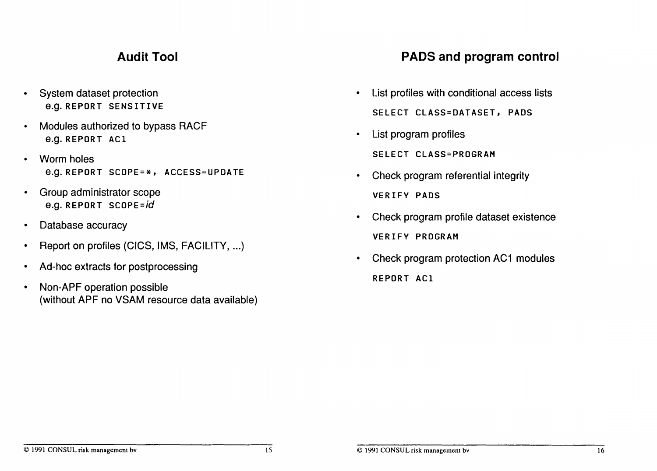## Audit Tool

- System dataset protection e.g. REPORT SENSITIVE
- Modules authorized to bypass RACF e.g. REPORT ACI
- Worm holes e.g. REPORT SCOPE=\*, ACCESS=UPDATE
- Group administrator scope e.g. REPORT SCOPE=id
- Database accuracy
- Report on profiles (CICS, IMS, FACILITY, ...)
- Ad-hoc extracts for postprocessing
- Non-APF operation possible (without APF no VSAM resource data available)

### PADS and program control

- List profiles with conditional access lists SELECT CLASS=DATASET, PADS
- List program profiles SELECT CLASS=PROGRAM
- Check program referential integrity VERIFY PADS
- Check program profile dataset existence VERIFY PROGRAM
- Check program protection AC1 modules REPORT ACI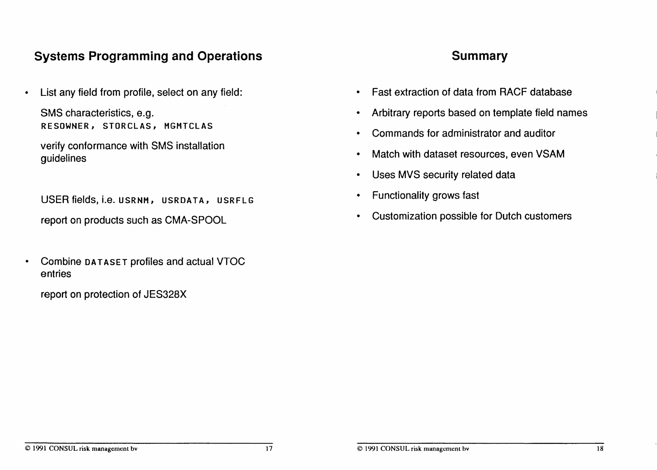## Systems Programming and Operations

• List any field from profile, select on any field:

SMS characteristics, e.g. RESOWNER, STORCLAS, MGMTCLAS

verify conformance with SMS installation guidelines

USER fields, i.e. USRNM, USRDATA, USRFLG report on products such as CMA-SPOOL

• Combine DATASET profiles and actual VTOC entries

report on protection of JES328X

#### **Summary**

- Fast extraction of data from RACF database
- Arbitrary reports based on template field names
- Commands for administrator and auditor
- Match with dataset resources, even VSAM
- Uses MVS security related data
- Functionality grows fast
- Customization possible for Dutch customers